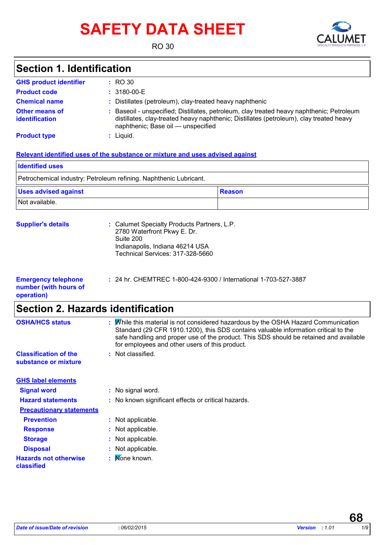# **SAFETY DATA SHEET**



RO 30

### **Section 1. Identification**

| <b>GHS product identifier</b>           | $\pm$ RO 30                                                                                                                                                                                                              |
|-----------------------------------------|--------------------------------------------------------------------------------------------------------------------------------------------------------------------------------------------------------------------------|
| <b>Product code</b>                     | $: 3180 - 00 - E$                                                                                                                                                                                                        |
| <b>Chemical name</b>                    | : Distillates (petroleum), clay-treated heavy naphthenic                                                                                                                                                                 |
| <b>Other means of</b><br>identification | Baseoil - unspecified; Distillates, petroleum, clay treated heavy naphthenic; Petroleum<br>distillates, clay-treated heavy naphthenic; Distillates (petroleum), clay treated heavy<br>naphthenic; Base oil — unspecified |
| <b>Product type</b>                     | $:$ Liquid.                                                                                                                                                                                                              |

#### **Relevant identified uses of the substance or mixture and uses advised against**

| <b>I</b> Identified uses                                          |           |  |  |  |
|-------------------------------------------------------------------|-----------|--|--|--|
| Petrochemical industry: Petroleum refining. Naphthenic Lubricant. |           |  |  |  |
| <b>Uses advised against</b>                                       | ∣ Reason∶ |  |  |  |
| Not available.                                                    |           |  |  |  |

| <b>Supplier's details</b> | : Calumet Specialty Products Partners, L.P.<br>2780 Waterfront Pkwy E. Dr.<br>Suite 200<br>Indianapolis, Indiana 46214 USA |
|---------------------------|----------------------------------------------------------------------------------------------------------------------------|
|                           | Technical Services: 317-328-5660                                                                                           |
|                           |                                                                                                                            |

| <b>Emergency telephone</b> | : 24 hr. CHEMTREC 1-800-424-9300 / International 1-703-527-3887 |
|----------------------------|-----------------------------------------------------------------|
| number (with hours of      |                                                                 |
| operation)                 |                                                                 |

### **Section 2. Hazards identification**

| <b>OSHA/HCS status</b>                               | While this material is not considered hazardous by the OSHA Hazard Communication<br>t<br>Standard (29 CFR 1910.1200), this SDS contains valuable information critical to the<br>safe handling and proper use of the product. This SDS should be retained and available<br>for employees and other users of this product. |
|------------------------------------------------------|--------------------------------------------------------------------------------------------------------------------------------------------------------------------------------------------------------------------------------------------------------------------------------------------------------------------------|
| <b>Classification of the</b><br>substance or mixture | Not classified.<br>÷.                                                                                                                                                                                                                                                                                                    |
| <b>GHS label elements</b>                            |                                                                                                                                                                                                                                                                                                                          |
| <b>Signal word</b>                                   | : No signal word.                                                                                                                                                                                                                                                                                                        |
| <b>Hazard statements</b>                             | : No known significant effects or critical hazards.                                                                                                                                                                                                                                                                      |
| <b>Precautionary statements</b>                      |                                                                                                                                                                                                                                                                                                                          |
| <b>Prevention</b>                                    | : Not applicable.                                                                                                                                                                                                                                                                                                        |
| <b>Response</b>                                      | Not applicable.                                                                                                                                                                                                                                                                                                          |
| <b>Storage</b>                                       | Not applicable.<br>÷.                                                                                                                                                                                                                                                                                                    |
| <b>Disposal</b>                                      | Not applicable.<br>÷.                                                                                                                                                                                                                                                                                                    |
| <b>Hazards not otherwise</b><br>classified           | None known.<br>÷.                                                                                                                                                                                                                                                                                                        |
|                                                      |                                                                                                                                                                                                                                                                                                                          |

**68**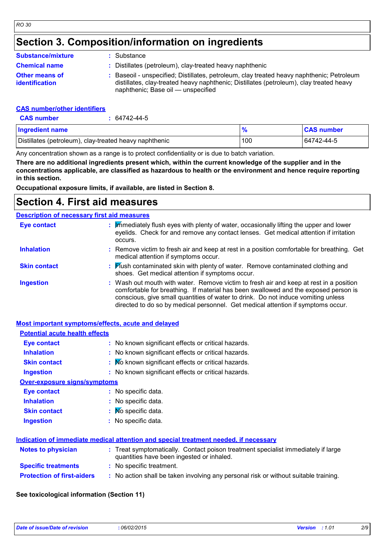### **Section 3. Composition/information on ingredients**

| <b>Substance/mixture</b>                       | : Substance                                                                                                                                                                                                              |
|------------------------------------------------|--------------------------------------------------------------------------------------------------------------------------------------------------------------------------------------------------------------------------|
| <b>Chemical name</b>                           | : Distillates (petroleum), clay-treated heavy naphthenic                                                                                                                                                                 |
| <b>Other means of</b><br><b>identification</b> | Baseoil - unspecified; Distillates, petroleum, clay treated heavy naphthenic; Petroleum<br>distillates, clay-treated heavy naphthenic; Distillates (petroleum), clay treated heavy<br>naphthenic; Base oil — unspecified |

#### **CAS number/other identifiers**

| <b>CAS number</b>                                      | 64742-44-5 |               |                   |
|--------------------------------------------------------|------------|---------------|-------------------|
| <b>Ingredient name</b>                                 |            | $\frac{9}{6}$ | <b>CAS number</b> |
| Distillates (petroleum), clay-treated heavy naphthenic |            | 100           | 64742-44-5        |

Any concentration shown as a range is to protect confidentiality or is due to batch variation.

**There are no additional ingredients present which, within the current knowledge of the supplier and in the concentrations applicable, are classified as hazardous to health or the environment and hence require reporting in this section.**

**Occupational exposure limits, if available, are listed in Section 8.**

### **Section 4. First aid measures**

#### **Description of necessary first aid measures**

| <b>Eye contact</b>  | : Immediately flush eyes with plenty of water, occasionally lifting the upper and lower<br>eyelids. Check for and remove any contact lenses. Get medical attention if irritation<br>occurs.                                                                                                                                                            |
|---------------------|--------------------------------------------------------------------------------------------------------------------------------------------------------------------------------------------------------------------------------------------------------------------------------------------------------------------------------------------------------|
| <b>Inhalation</b>   | : Remove victim to fresh air and keep at rest in a position comfortable for breathing. Get<br>medical attention if symptoms occur.                                                                                                                                                                                                                     |
| <b>Skin contact</b> | : Flush contaminated skin with plenty of water. Remove contaminated clothing and<br>shoes. Get medical attention if symptoms occur.                                                                                                                                                                                                                    |
| <b>Ingestion</b>    | : Wash out mouth with water. Remove victim to fresh air and keep at rest in a position<br>comfortable for breathing. If material has been swallowed and the exposed person is<br>conscious, give small quantities of water to drink. Do not induce vomiting unless<br>directed to do so by medical personnel. Get medical attention if symptoms occur. |

#### **Most important symptoms/effects, acute and delayed**

| <b>Potential acute health effects</b>                                                |                                                                                                                                |  |
|--------------------------------------------------------------------------------------|--------------------------------------------------------------------------------------------------------------------------------|--|
| Eye contact                                                                          | : No known significant effects or critical hazards.                                                                            |  |
| <b>Inhalation</b>                                                                    | : No known significant effects or critical hazards.                                                                            |  |
| <b>Skin contact</b>                                                                  | : No known significant effects or critical hazards.                                                                            |  |
| <b>Ingestion</b>                                                                     | : No known significant effects or critical hazards.                                                                            |  |
| <b>Over-exposure signs/symptoms</b>                                                  |                                                                                                                                |  |
| Eye contact                                                                          | : No specific data.                                                                                                            |  |
| <b>Inhalation</b>                                                                    | : No specific data.                                                                                                            |  |
| <b>Skin contact</b>                                                                  | : Mo specific data.                                                                                                            |  |
| <b>Ingestion</b>                                                                     | : No specific data.                                                                                                            |  |
| Indication of immediate medical attention and special treatment needed, if necessary |                                                                                                                                |  |
| <b>Notes to physician</b>                                                            | : Treat symptomatically. Contact poison treatment specialist immediately if large<br>quantities have been ingested or inhaled. |  |
| <b>Specific treatments</b>                                                           | : No specific treatment.                                                                                                       |  |
| <b>Protection of first-aiders</b>                                                    | : No action shall be taken involving any personal risk or without suitable training.                                           |  |

#### **See toxicological information (Section 11)**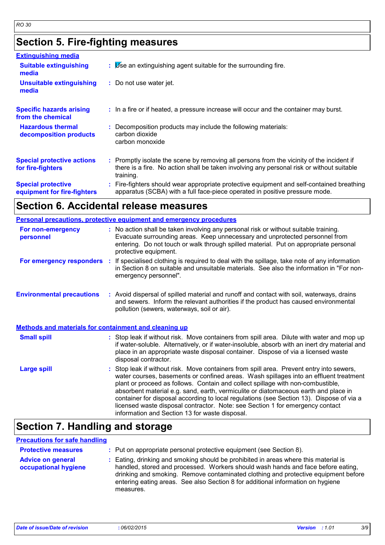### **Section 5. Fire-fighting measures**

| <b>Extinguishing media</b>                               |                                                                                                                                                                                                     |
|----------------------------------------------------------|-----------------------------------------------------------------------------------------------------------------------------------------------------------------------------------------------------|
| <b>Suitable extinguishing</b><br>media                   | $\mathbf{B}$ $\mathbf{B}$ Se an extinguishing agent suitable for the surrounding fire.                                                                                                              |
| <b>Unsuitable extinguishing</b><br>media                 | : Do not use water jet.                                                                                                                                                                             |
| <b>Specific hazards arising</b><br>from the chemical     | : In a fire or if heated, a pressure increase will occur and the container may burst.                                                                                                               |
| <b>Hazardous thermal</b><br>decomposition products       | Decomposition products may include the following materials:<br>carbon dioxide<br>carbon monoxide                                                                                                    |
| <b>Special protective actions</b><br>for fire-fighters   | : Promptly isolate the scene by removing all persons from the vicinity of the incident if<br>there is a fire. No action shall be taken involving any personal risk or without suitable<br>training. |
| <b>Special protective</b><br>equipment for fire-fighters | : Fire-fighters should wear appropriate protective equipment and self-contained breathing<br>apparatus (SCBA) with a full face-piece operated in positive pressure mode.                            |

### **Section 6. Accidental release measures**

|                                                       | <b>Personal precautions, protective equipment and emergency procedures</b>                                                                                                                                                                                                                                                                                                                                                                                                                                                                                                                 |
|-------------------------------------------------------|--------------------------------------------------------------------------------------------------------------------------------------------------------------------------------------------------------------------------------------------------------------------------------------------------------------------------------------------------------------------------------------------------------------------------------------------------------------------------------------------------------------------------------------------------------------------------------------------|
| For non-emergency<br>personnel                        | : No action shall be taken involving any personal risk or without suitable training.<br>Evacuate surrounding areas. Keep unnecessary and unprotected personnel from<br>entering. Do not touch or walk through spilled material. Put on appropriate personal<br>protective equipment.                                                                                                                                                                                                                                                                                                       |
| For emergency responders :                            | If specialised clothing is required to deal with the spillage, take note of any information<br>in Section 8 on suitable and unsuitable materials. See also the information in "For non-<br>emergency personnel".                                                                                                                                                                                                                                                                                                                                                                           |
| <b>Environmental precautions</b>                      | : Avoid dispersal of spilled material and runoff and contact with soil, waterways, drains<br>and sewers. Inform the relevant authorities if the product has caused environmental<br>pollution (sewers, waterways, soil or air).                                                                                                                                                                                                                                                                                                                                                            |
| Methods and materials for containment and cleaning up |                                                                                                                                                                                                                                                                                                                                                                                                                                                                                                                                                                                            |
| <b>Small spill</b>                                    | : Stop leak if without risk. Move containers from spill area. Dilute with water and mop up<br>if water-soluble. Alternatively, or if water-insoluble, absorb with an inert dry material and<br>place in an appropriate waste disposal container. Dispose of via a licensed waste<br>disposal contractor.                                                                                                                                                                                                                                                                                   |
| <b>Large spill</b>                                    | : Stop leak if without risk. Move containers from spill area. Prevent entry into sewers,<br>water courses, basements or confined areas. Wash spillages into an effluent treatment<br>plant or proceed as follows. Contain and collect spillage with non-combustible,<br>absorbent material e.g. sand, earth, vermiculite or diatomaceous earth and place in<br>container for disposal according to local regulations (see Section 13). Dispose of via a<br>licensed waste disposal contractor. Note: see Section 1 for emergency contact<br>information and Section 13 for waste disposal. |

### **Section 7. Handling and storage**

#### **Precautions for safe handling**

| <b>Protective measures</b><br><b>Advice on general</b><br>occupational hygiene | : Put on appropriate personal protective equipment (see Section 8).<br>: Eating, drinking and smoking should be prohibited in areas where this material is<br>handled, stored and processed. Workers should wash hands and face before eating,<br>drinking and smoking. Remove contaminated clothing and protective equipment before<br>entering eating areas. See also Section 8 for additional information on hygiene<br>measures. |
|--------------------------------------------------------------------------------|--------------------------------------------------------------------------------------------------------------------------------------------------------------------------------------------------------------------------------------------------------------------------------------------------------------------------------------------------------------------------------------------------------------------------------------|
|--------------------------------------------------------------------------------|--------------------------------------------------------------------------------------------------------------------------------------------------------------------------------------------------------------------------------------------------------------------------------------------------------------------------------------------------------------------------------------------------------------------------------------|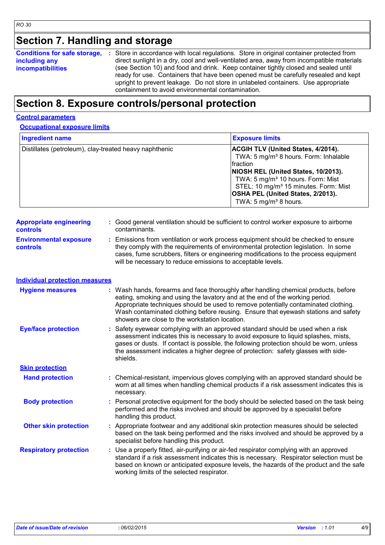## **Section 7. Handling and storage**

|                          | <b>Conditions for safe storage, :</b> Store in accordance with local regulations. Store in original container protected from |
|--------------------------|------------------------------------------------------------------------------------------------------------------------------|
| including any            | direct sunlight in a dry, cool and well-ventilated area, away from incompatible materials                                    |
| <b>incompatibilities</b> | (see Section 10) and food and drink. Keep container tightly closed and sealed until                                          |
|                          | ready for use. Containers that have been opened must be carefully resealed and kept                                          |
|                          | upright to prevent leakage. Do not store in unlabeled containers. Use appropriate                                            |
|                          | containment to avoid environmental contamination.                                                                            |

### **Section 8. Exposure controls/personal protection**

#### **Control parameters**

#### **Occupational exposure limits**

| <b>Ingredient name</b>                                 | <b>Exposure limits</b>                                                                                                                                                                                                                                                                                                         |
|--------------------------------------------------------|--------------------------------------------------------------------------------------------------------------------------------------------------------------------------------------------------------------------------------------------------------------------------------------------------------------------------------|
| Distillates (petroleum), clay-treated heavy naphthenic | <b>ACGIH TLV (United States, 4/2014).</b><br>TWA: 5 mg/m <sup>3</sup> 8 hours. Form: Inhalable<br>fraction<br>NIOSH REL (United States, 10/2013).<br>TWA: 5 mg/m <sup>3</sup> 10 hours. Form: Mist<br>STEL: 10 mg/m <sup>3</sup> 15 minutes. Form: Mist<br><b>OSHA PEL (United States, 2/2013).</b><br>TWA: 5 $mg/m3$ 8 hours. |

| <b>Appropriate engineering</b>                   | : Good general ventilation should be sufficient to control worker exposure to airborne                                                                                                                                                                                                                                          |
|--------------------------------------------------|---------------------------------------------------------------------------------------------------------------------------------------------------------------------------------------------------------------------------------------------------------------------------------------------------------------------------------|
| <b>controls</b>                                  | contaminants.                                                                                                                                                                                                                                                                                                                   |
| <b>Environmental exposure</b><br><b>controls</b> | : Emissions from ventilation or work process equipment should be checked to ensure<br>they comply with the requirements of environmental protection legislation. In some<br>cases, fume scrubbers, filters or engineering modifications to the process equipment<br>will be necessary to reduce emissions to acceptable levels. |

### **Individual protection measures**

| <b>Hygiene measures</b>       | : Wash hands, forearms and face thoroughly after handling chemical products, before<br>eating, smoking and using the lavatory and at the end of the working period.<br>Appropriate techniques should be used to remove potentially contaminated clothing.<br>Wash contaminated clothing before reusing. Ensure that eyewash stations and safety<br>showers are close to the workstation location. |
|-------------------------------|---------------------------------------------------------------------------------------------------------------------------------------------------------------------------------------------------------------------------------------------------------------------------------------------------------------------------------------------------------------------------------------------------|
| <b>Eye/face protection</b>    | : Safety eyewear complying with an approved standard should be used when a risk<br>assessment indicates this is necessary to avoid exposure to liquid splashes, mists,<br>gases or dusts. If contact is possible, the following protection should be worn, unless<br>the assessment indicates a higher degree of protection: safety glasses with side-<br>shields.                                |
| <b>Skin protection</b>        |                                                                                                                                                                                                                                                                                                                                                                                                   |
| <b>Hand protection</b>        | : Chemical-resistant, impervious gloves complying with an approved standard should be<br>worn at all times when handling chemical products if a risk assessment indicates this is<br>necessary.                                                                                                                                                                                                   |
| <b>Body protection</b>        | : Personal protective equipment for the body should be selected based on the task being<br>performed and the risks involved and should be approved by a specialist before<br>handling this product.                                                                                                                                                                                               |
| <b>Other skin protection</b>  | : Appropriate footwear and any additional skin protection measures should be selected<br>based on the task being performed and the risks involved and should be approved by a<br>specialist before handling this product.                                                                                                                                                                         |
| <b>Respiratory protection</b> | : Use a properly fitted, air-purifying or air-fed respirator complying with an approved<br>standard if a risk assessment indicates this is necessary. Respirator selection must be<br>based on known or anticipated exposure levels, the hazards of the product and the safe<br>working limits of the selected respirator.                                                                        |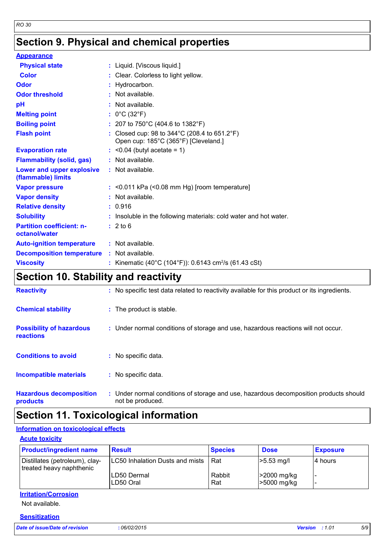## **Section 9. Physical and chemical properties**

| <b>Appearance</b>                                 |                                                                                                           |
|---------------------------------------------------|-----------------------------------------------------------------------------------------------------------|
| <b>Physical state</b>                             | : Liquid. [Viscous liquid.]                                                                               |
| <b>Color</b>                                      | : Clear. Colorless to light yellow.                                                                       |
| Odor                                              | : Hydrocarbon.                                                                                            |
| <b>Odor threshold</b>                             | : Not available.                                                                                          |
| pH                                                | : Not available.                                                                                          |
| <b>Melting point</b>                              | : $0^{\circ}$ C (32 $^{\circ}$ F)                                                                         |
| <b>Boiling point</b>                              | : 207 to 750°C (404.6 to 1382°F)                                                                          |
| <b>Flash point</b>                                | : Closed cup: 98 to $344^{\circ}$ C (208.4 to 651.2 $^{\circ}$ F)<br>Open cup: 185°C (365°F) [Cleveland.] |
| <b>Evaporation rate</b>                           | $:$ <0.04 (butyl acetate = 1)                                                                             |
| <b>Flammability (solid, gas)</b>                  | : Not available.                                                                                          |
| Lower and upper explosive<br>(flammable) limits   | : Not available.                                                                                          |
| <b>Vapor pressure</b>                             | $:$ <0.011 kPa (<0.08 mm Hg) [room temperature]                                                           |
| <b>Vapor density</b>                              | $:$ Not available.                                                                                        |
| <b>Relative density</b>                           | : 0.916                                                                                                   |
| <b>Solubility</b>                                 | : Insoluble in the following materials: cold water and hot water.                                         |
| <b>Partition coefficient: n-</b><br>octanol/water | : 2 to 6                                                                                                  |
| <b>Auto-ignition temperature</b>                  | : Not available.                                                                                          |
| <b>Decomposition temperature</b>                  | : Not available.                                                                                          |
| <b>Viscosity</b>                                  | : Kinematic (40°C (104°F)): 0.6143 cm <sup>2</sup> /s (61.43 cSt)                                         |
|                                                   |                                                                                                           |

### **Section 10. Stability and reactivity**

| <b>Reactivity</b>                                   | : No specific test data related to reactivity available for this product or its ingredients.              |
|-----------------------------------------------------|-----------------------------------------------------------------------------------------------------------|
| <b>Chemical stability</b>                           | : The product is stable.                                                                                  |
| <b>Possibility of hazardous</b><br><b>reactions</b> | : Under normal conditions of storage and use, hazardous reactions will not occur.                         |
| <b>Conditions to avoid</b>                          | : No specific data.                                                                                       |
| <b>Incompatible materials</b>                       | : No specific data.                                                                                       |
| <b>Hazardous decomposition</b><br>products          | : Under normal conditions of storage and use, hazardous decomposition products should<br>not be produced. |

### **Section 11. Toxicological information**

### **Information on toxicological effects**

#### **Acute toxicity**

| <b>Product/ingredient name</b>                             | <b>Result</b>                   | <b>Species</b> | <b>Dose</b>                | <b>Exposure</b> |
|------------------------------------------------------------|---------------------------------|----------------|----------------------------|-----------------|
| Distillates (petroleum), clay-<br>treated heavy naphthenic | LC50 Inhalation Dusts and mists | Rat            | $>5.53$ mg/l               | 14 hours        |
|                                                            | ILD50 Dermal<br>LD50 Oral       | Rabbit<br>Rat  | >2000 mg/kg<br>>5000 mg/kg |                 |

### **Irritation/Corrosion**

Not available.

#### **Sensitization**

*Date of issue/Date of revision* **:** *06/02/2015 Version : 1.01 5/9*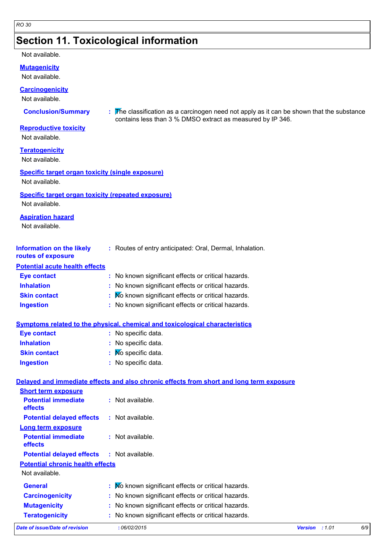### **Section 11. Toxicological information**

#### Not available.

**Mutagenicity**

Not available.

**Carcinogenicity**

Not available.

**Conclusion/Summary :** The classification as a carcinogen need not apply as it can be shown that the substance contains less than 3 % DMSO extract as measured by IP 346.

#### **Reproductive toxicity**

Not available.

**Teratogenicity**

Not available.

#### **Specific target organ toxicity (single exposure)**

Not available.

#### **Specific target organ toxicity (repeated exposure)**

Not available.

#### **Aspiration hazard**

Not available.

| <b>Information on the likely</b> | : Routes of entry anticipated: Oral, Dermal, Inhalation. |
|----------------------------------|----------------------------------------------------------|
| routes of exposure               |                                                          |

#### **Potential acute health effects**

**Short term exposure**

| Eye contact         | : No known significant effects or critical hazards. |
|---------------------|-----------------------------------------------------|
| <b>Inhalation</b>   | : No known significant effects or critical hazards. |
| <b>Skin contact</b> | : Mo known significant effects or critical hazards. |
| <b>Ingestion</b>    | : No known significant effects or critical hazards. |

#### **Symptoms related to the physical, chemical and toxicological characteristics**

| <b>Eye contact</b>  | : No specific data.            |
|---------------------|--------------------------------|
| <b>Inhalation</b>   | : No specific data.            |
| <b>Skin contact</b> | $\mathbf{N}$ Mo specific data. |
| <b>Ingestion</b>    | : No specific data.            |

#### **Delayed and immediate effects and also chronic effects from short and long term exposure**

| Date of issue/Date of revision          | :06/02/2015                                         | <b>Version</b><br>:1.01 | 6/9 |
|-----------------------------------------|-----------------------------------------------------|-------------------------|-----|
| <b>Teratogenicity</b>                   | : No known significant effects or critical hazards. |                         |     |
| <b>Mutagenicity</b>                     | : No known significant effects or critical hazards. |                         |     |
| <b>Carcinogenicity</b>                  | : No known significant effects or critical hazards. |                         |     |
| <b>General</b>                          | : Mo known significant effects or critical hazards. |                         |     |
| Not available.                          |                                                     |                         |     |
| <b>Potential chronic health effects</b> |                                                     |                         |     |
| <b>Potential delayed effects</b>        | : Not available.                                    |                         |     |
| <b>Potential immediate</b><br>effects   | $:$ Not available.                                  |                         |     |
| <b>Long term exposure</b>               |                                                     |                         |     |
| <b>Potential delayed effects</b>        | $:$ Not available.                                  |                         |     |
| <b>Potential immediate</b><br>effects   | $:$ Not available.                                  |                         |     |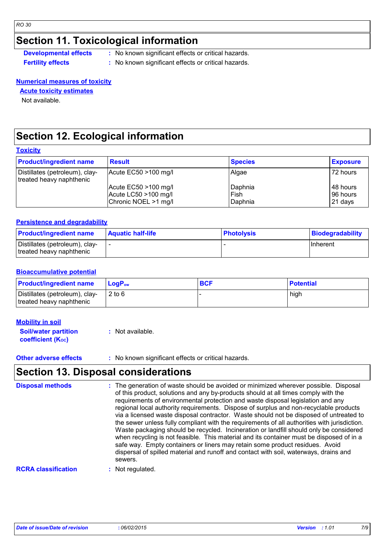### **Section 11. Toxicological information**

**Developmental effects** : No known significant effects or critical hazards.

**Fertility effects :** No known significant effects or critical hazards.

#### **Numerical measures of toxicity**

#### **Acute toxicity estimates**

Not available.

### **Section 12. Ecological information**

#### **Toxicity**

| <b>Product/ingredient name</b>                             | <b>Result</b>           | <b>Species</b> | <b>Exposure</b> |
|------------------------------------------------------------|-------------------------|----------------|-----------------|
| Distillates (petroleum), clay-<br>treated heavy naphthenic | Acute $EC50 > 100$ mg/l | Algae          | 72 hours        |
|                                                            | Acute EC50 >100 mg/l    | Daphnia        | 48 hours        |
|                                                            | Acute LC50 >100 mg/l    | Fish           | 96 hours        |
|                                                            | Chronic NOEL >1 mg/l    | Daphnia        | 21 days         |

#### **Persistence and degradability**

| <b>Product/ingredient name</b>                             | <b>Aquatic half-life</b> | <b>Photolysis</b> | Biodegradability |
|------------------------------------------------------------|--------------------------|-------------------|------------------|
| Distillates (petroleum), clay-<br>treated heavy naphthenic |                          |                   | <b>Inherent</b>  |

#### **Bioaccumulative potential**

| <b>Product/ingredient name</b>                             | LogP <sub>ow</sub> | <b>BCF</b> | <b>Potential</b> |
|------------------------------------------------------------|--------------------|------------|------------------|
| Distillates (petroleum), clay-<br>treated heavy naphthenic | $2$ to 6           |            | high             |

#### **Mobility in soil**

| <b>Soil/water partition</b> | $:$ Not available. |  |
|-----------------------------|--------------------|--|
| <b>coefficient (Koc)</b>    |                    |  |

#### **Other adverse effects** : No known significant effects or critical hazards.

### **Section 13. Disposal considerations**

| <b>Disposal methods</b>    | : The generation of waste should be avoided or minimized wherever possible. Disposal<br>of this product, solutions and any by-products should at all times comply with the<br>requirements of environmental protection and waste disposal legislation and any<br>regional local authority requirements. Dispose of surplus and non-recyclable products<br>via a licensed waste disposal contractor. Waste should not be disposed of untreated to<br>the sewer unless fully compliant with the requirements of all authorities with jurisdiction.<br>Waste packaging should be recycled. Incineration or landfill should only be considered<br>when recycling is not feasible. This material and its container must be disposed of in a<br>safe way. Empty containers or liners may retain some product residues. Avoid<br>dispersal of spilled material and runoff and contact with soil, waterways, drains and<br>sewers. |
|----------------------------|----------------------------------------------------------------------------------------------------------------------------------------------------------------------------------------------------------------------------------------------------------------------------------------------------------------------------------------------------------------------------------------------------------------------------------------------------------------------------------------------------------------------------------------------------------------------------------------------------------------------------------------------------------------------------------------------------------------------------------------------------------------------------------------------------------------------------------------------------------------------------------------------------------------------------|
| <b>RCRA classification</b> | Not regulated.                                                                                                                                                                                                                                                                                                                                                                                                                                                                                                                                                                                                                                                                                                                                                                                                                                                                                                             |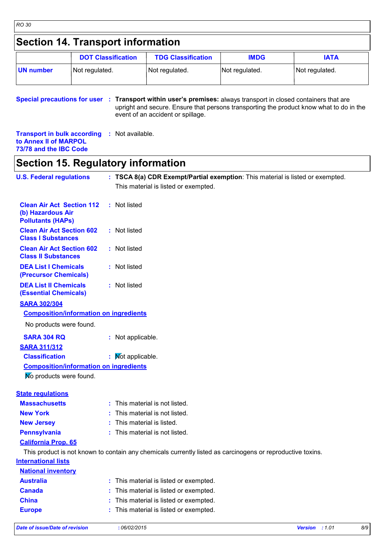### **Section 14. Transport information**

|           | <b>DOT Classification</b> | <b>TDG Classification</b> | <b>IMDG</b>    | IATA           |
|-----------|---------------------------|---------------------------|----------------|----------------|
| UN number | Not regulated.            | Not regulated.            | Not regulated. | Not regulated. |

**Special precautions for user** : Transport within user's premises: always transport in closed containers that are upright and secure. Ensure that persons transporting the product know what to do in the event of an accident or spillage.

**Transport in bulk according :** Not available. **to Annex II of MARPOL 73/78 and the IBC Code**

### **Section 15. Regulatory information**

| <b>U.S. Federal regulations</b>                                                   | : TSCA 8(a) CDR Exempt/Partial exemption: This material is listed or exempted.                             |
|-----------------------------------------------------------------------------------|------------------------------------------------------------------------------------------------------------|
|                                                                                   | This material is listed or exempted.                                                                       |
| <b>Clean Air Act Section 112</b><br>(b) Hazardous Air<br><b>Pollutants (HAPs)</b> | : Not listed                                                                                               |
| <b>Clean Air Act Section 602</b><br><b>Class I Substances</b>                     | : Not listed                                                                                               |
| <b>Clean Air Act Section 602</b><br><b>Class II Substances</b>                    | : Not listed                                                                                               |
| <b>DEA List I Chemicals</b><br>(Precursor Chemicals)                              | : Not listed                                                                                               |
| <b>DEA List II Chemicals</b><br><b>(Essential Chemicals)</b>                      | : Not listed                                                                                               |
| <b>SARA 302/304</b>                                                               |                                                                                                            |
| <b>Composition/information on ingredients</b>                                     |                                                                                                            |
| No products were found.                                                           |                                                                                                            |
| <b>SARA 304 RQ</b>                                                                | : Not applicable.                                                                                          |
| <b>SARA 311/312</b>                                                               |                                                                                                            |
| <b>Classification</b>                                                             | : Mot applicable.                                                                                          |
| <b>Composition/information on ingredients</b>                                     |                                                                                                            |
| No products were found.                                                           |                                                                                                            |
| <b>State regulations</b>                                                          |                                                                                                            |
| <b>Massachusetts</b>                                                              | : This material is not listed.                                                                             |
| <b>New York</b>                                                                   | : This material is not listed.                                                                             |
| <b>New Jersey</b>                                                                 | : This material is listed.                                                                                 |
| <b>Pennsylvania</b>                                                               | : This material is not listed.                                                                             |
| <b>California Prop. 65</b>                                                        |                                                                                                            |
|                                                                                   | This product is not known to contain any chemicals currently listed as carcinogens or reproductive toxins. |
| <b>International lists</b>                                                        |                                                                                                            |
| <b>National inventory</b>                                                         |                                                                                                            |
| <b>Australia</b>                                                                  | This material is listed or exempted.                                                                       |
| <b>Canada</b>                                                                     | This material is listed or exempted.                                                                       |
| <b>China</b>                                                                      | This material is listed or exempted.                                                                       |
| <b>Europe</b>                                                                     | : This material is listed or exempted.                                                                     |